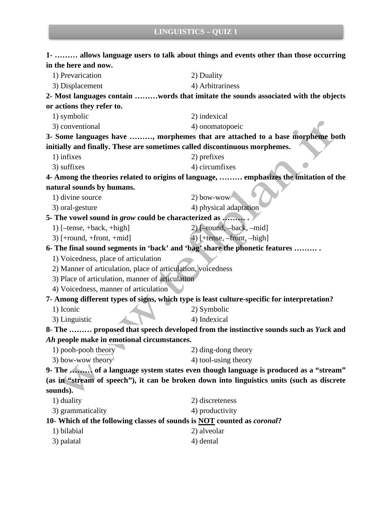| <b>LINGUISTICS - QUIZ 1</b>                                                |                                                                                             |  |
|----------------------------------------------------------------------------|---------------------------------------------------------------------------------------------|--|
|                                                                            | 1-  allows language users to talk about things and events other than those occurring        |  |
| in the here and now.                                                       |                                                                                             |  |
| 1) Prevarication                                                           | 2) Duality                                                                                  |  |
| 3) Displacement                                                            | 4) Arbitrariness                                                                            |  |
|                                                                            | 2- Most languages contain words that imitate the sounds associated with the objects         |  |
| or actions they refer to.                                                  |                                                                                             |  |
| 1) symbolic                                                                | 2) indexical                                                                                |  |
| 3) conventional                                                            | 4) onomatopoeic                                                                             |  |
|                                                                            | 3- Some languages have , morphemes that are attached to a base morpheme both                |  |
| initially and finally. These are sometimes called discontinuous morphemes. |                                                                                             |  |
| 1) infixes                                                                 | 2) prefixes                                                                                 |  |
| 3) suffixes                                                                | 4) circumfixes                                                                              |  |
|                                                                            | 4- Among the theories related to origins of language,  emphasizes the imitation of the      |  |
| natural sounds by humans.                                                  |                                                                                             |  |
| 1) divine source                                                           | 2) bow-wow                                                                                  |  |
| 3) oral-gesture                                                            | 4) physical adaptation                                                                      |  |
| 5- The vowel sound in grow could be characterized as                       |                                                                                             |  |
| 1) $[-tense, +back, +high]$                                                | $2)$ [-round, -back, -mid]                                                                  |  |
| $3)$ [+round, +front, +mid]                                                | 4) [+tense, -front, -high]                                                                  |  |
|                                                                            | 6- The final sound segments in 'back' and 'bag' share the phonetic features                 |  |
| 1) Voicedness, place of articulation                                       |                                                                                             |  |
| 2) Manner of articulation, place of articulation, voicedness               |                                                                                             |  |
| 3) Place of articulation, manner of articulation                           |                                                                                             |  |
| 4) Voicedness, manner of articulation                                      |                                                                                             |  |
|                                                                            | 7- Among different types of signs, which type is least culture-specific for interpretation? |  |
| 1) Iconic                                                                  | 2) Symbolic                                                                                 |  |
| 3) Linguistic                                                              | 4) Indexical                                                                                |  |
|                                                                            | 8- The  proposed that speech developed from the instinctive sounds such as Yuck and         |  |
| Ah people make in emotional circumstances.                                 |                                                                                             |  |
| 1) pooh-pooh theory                                                        | 2) ding-dong theory                                                                         |  |
| 3) bow-wow theory                                                          | 4) tool-using theory                                                                        |  |
|                                                                            | 9- The  of a language system states even though language is produced as a "stream"          |  |
|                                                                            | (as in "stream of speech"), it can be broken down into linguistics units (such as discrete  |  |
| sounds).                                                                   |                                                                                             |  |
| 1) duality                                                                 | 2) discreteness                                                                             |  |
| 3) grammaticality                                                          | 4) productivity                                                                             |  |
|                                                                            | 10- Which of the following classes of sounds is NOT counted as <i>coronal</i> ?             |  |
| 1) bilabial                                                                | 2) alveolar                                                                                 |  |
| 3) palatal                                                                 | 4) dental                                                                                   |  |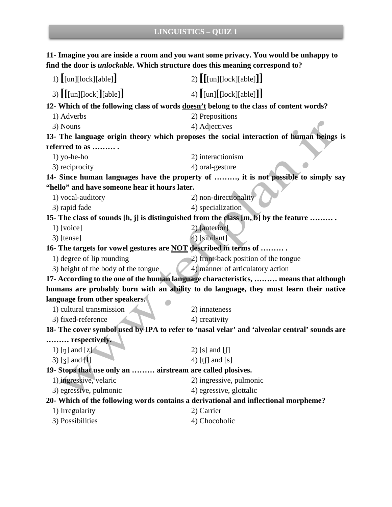**11- Imagine you are inside a room and you want some privacy. You would be unhappy to find the door is** *unlockable***. Which structure does this meaning correspond to?**

| 1) $\left[\text{[un][lock][able]}\right]$                                                    | 2) $[[\text{[un][lock][able]]}]$                                                  |  |
|----------------------------------------------------------------------------------------------|-----------------------------------------------------------------------------------|--|
| 3) $[[\text{[un][lock]}][\text{able}]]$                                                      | 4) $\left[\text{[un]}\left[\text{[lock]}[\text{able}]\right]\right]$              |  |
| 12- Which of the following class of words doesn't belong to the class of content words?      |                                                                                   |  |
| 1) Adverbs                                                                                   | 2) Prepositions                                                                   |  |
| 3) Nouns                                                                                     | 4) Adjectives                                                                     |  |
| 13- The language origin theory which proposes the social interaction of human beings is      |                                                                                   |  |
| referred to as                                                                               |                                                                                   |  |
| $1)$ yo-he-ho                                                                                | 2) interactionism                                                                 |  |
| 3) reciprocity                                                                               | 4) oral-gesture                                                                   |  |
|                                                                                              | 14- Since human languages have the property of , it is not possible to simply say |  |
| "hello" and have someone hear it hours later.                                                |                                                                                   |  |
| 1) vocal-auditory                                                                            | 2) non-directionality                                                             |  |
| 3) rapid fade                                                                                | 4) specialization                                                                 |  |
| 15- The class of sounds [h, j] is distinguished from the class [m, b] by the feature         |                                                                                   |  |
| $1)$ [voice]                                                                                 | 2) [anterior]                                                                     |  |
| 3) [tense]                                                                                   | 4) [sibilant]                                                                     |  |
| 16- The targets for vowel gestures are NOT described in terms of                             |                                                                                   |  |
| 1) degree of lip rounding                                                                    | 2) front-back position of the tongue                                              |  |
| 3) height of the body of the tongue                                                          | 4) manner of articulatory action                                                  |  |
| 17- According to the one of the human language characteristics,  means that although         |                                                                                   |  |
| humans are probably born with an ability to do language, they must learn their native        |                                                                                   |  |
| language from other speakers.                                                                |                                                                                   |  |
| 1) cultural transmission                                                                     | 2) innateness                                                                     |  |
| 3) fixed-reference                                                                           | 4) creativity                                                                     |  |
| 18- The cover symbol used by IPA to refer to 'nasal velar' and 'alveolar central' sounds are |                                                                                   |  |
| respectively.                                                                                |                                                                                   |  |
| 1) [ŋ] and $[z]$                                                                             | 2) [s] and $\left[\int\right]$                                                    |  |
| $3)$ [ $3$ ] and [1]                                                                         | 4) [tf] and [s]                                                                   |  |
| 19- Stops that use only an  airstream are called plosives.                                   |                                                                                   |  |
| 1) ingressive, velaric                                                                       | 2) ingressive, pulmonic                                                           |  |
| 3) egressive, pulmonic                                                                       | 4) egressive, glottalic                                                           |  |
| 20- Which of the following words contains a derivational and inflectional morpheme?          |                                                                                   |  |
| 1) Irregularity                                                                              | 2) Carrier                                                                        |  |
| 3) Possibilities                                                                             | 4) Chocoholic                                                                     |  |
|                                                                                              |                                                                                   |  |